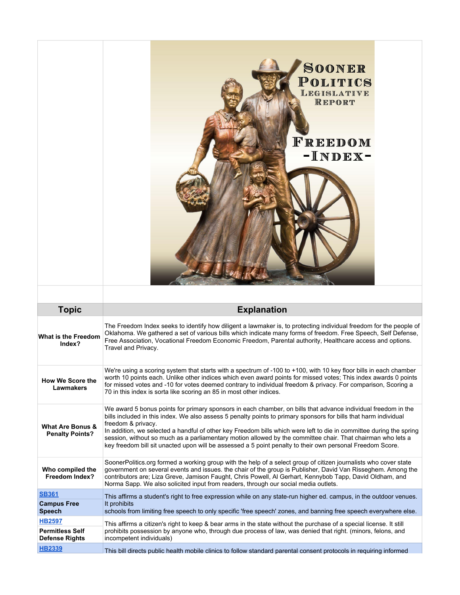|                                                       | SOONER<br>POLITICS<br>LEGISLATIVE<br>REPORT<br>FREEDOM<br>-INDEX-                                                                                                                                                                                                                                                                                                                                                                                                                                                                                                                                          |
|-------------------------------------------------------|------------------------------------------------------------------------------------------------------------------------------------------------------------------------------------------------------------------------------------------------------------------------------------------------------------------------------------------------------------------------------------------------------------------------------------------------------------------------------------------------------------------------------------------------------------------------------------------------------------|
| <b>Topic</b>                                          | <b>Explanation</b>                                                                                                                                                                                                                                                                                                                                                                                                                                                                                                                                                                                         |
| <b>What is the Freedom</b><br>Index?                  | The Freedom Index seeks to identify how diligent a lawmaker is, to protecting individual freedom for the people of<br>Oklahoma. We gathered a set of various bills which indicate many forms of freedom. Free Speech, Self Defense,<br>Free Association, Vocational Freedom Economic Freedom, Parental authority, Healthcare access and options.<br>Travel and Privacy.                                                                                                                                                                                                                                    |
| <b>How We Score the</b><br><b>Lawmakers</b>           | We're using a scoring system that starts with a spectrum of -100 to +100, with 10 key floor bills in each chamber<br>worth 10 points each. Unlike other indices which even award points for missed votes; This index awards 0 points<br>for missed votes and -10 for votes deemed contrary to individual freedom & privacy. For comparison, Scoring a<br>70 in this index is sorta like scoring an 85 in most other indices.                                                                                                                                                                               |
| <b>What Are Bonus &amp;</b><br><b>Penalty Points?</b> | We award 5 bonus points for primary sponsors in each chamber, on bills that advance individual freedom in the<br>bills included in this index. We also assess 5 penalty points to primary sponsors for bills that harm individual<br>freedom & privacy.<br>In addition, we selected a handful of other key Freedom bills which were left to die in committee during the spring<br>session, without so much as a parliamentary motion allowed by the committee chair. That chairman who lets a<br>key freedom bill sit unacted upon will be assessed a 5 point penalty to their own personal Freedom Score. |
| Who compiled the<br>Freedom Index?                    | SoonerPolitics.org formed a working group with the help of a select group of citizen journalists who cover state<br>government on several events and issues. the chair of the group is Publisher, David Van Risseghem. Among the<br>contributors are; Liza Greve, Jamison Faught, Chris Powell, Al Gerhart, Kennybob Tapp, David Oldham, and<br>Norma Sapp. We also solicited input from readers, through our social media outlets.                                                                                                                                                                        |
| <b>SB361</b>                                          | This affirms a student's right to free expression while on any state-run higher ed. campus, in the outdoor venues.                                                                                                                                                                                                                                                                                                                                                                                                                                                                                         |
| <b>Campus Free</b><br><b>Speech</b>                   | It prohibits<br>schools from limiting free speech to only specific 'free speech' zones, and banning free speech everywhere else.                                                                                                                                                                                                                                                                                                                                                                                                                                                                           |
| <b>HB2597</b>                                         | This affirms a citizen's right to keep & bear arms in the state without the purchase of a special license. It still                                                                                                                                                                                                                                                                                                                                                                                                                                                                                        |
| <b>Permitless Self</b><br><b>Defense Rights</b>       | prohibits possession by anyone who, through due process of law, was denied that right. (minors, felons, and<br>incompetent individuals)                                                                                                                                                                                                                                                                                                                                                                                                                                                                    |
| <b>HB2339</b>                                         | This bill directs public health mobile clinics to follow standard parental consent protocols in requiring informed                                                                                                                                                                                                                                                                                                                                                                                                                                                                                         |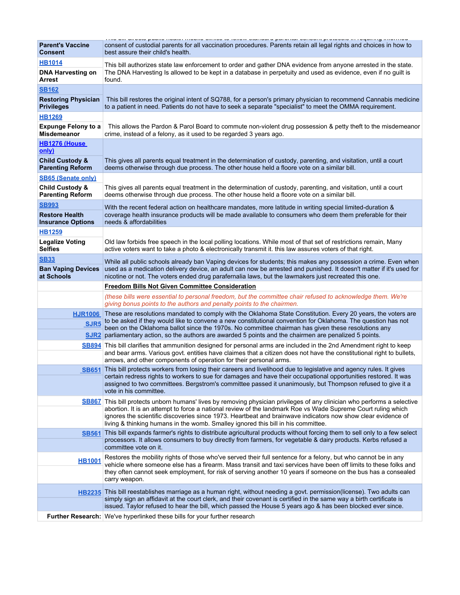|                                                       | r me um un oute puune meditir meune emmee te remen etamatia paremai eeneemi protocole in requimig imerimea.                                                                                                                                                                                                                                                                                   |
|-------------------------------------------------------|-----------------------------------------------------------------------------------------------------------------------------------------------------------------------------------------------------------------------------------------------------------------------------------------------------------------------------------------------------------------------------------------------|
| <b>Parent's Vaccine</b><br><b>Consent</b>             | consent of custodial parents for all vaccination procedures. Parents retain all legal rights and choices in how to<br>best assure their child's health.                                                                                                                                                                                                                                       |
| <b>HB1014</b>                                         | This bill authorizes state law enforcement to order and gather DNA evidence from anyone arrested in the state.                                                                                                                                                                                                                                                                                |
| <b>DNA Harvesting on</b><br><b>Arrest</b>             | The DNA Harvesting Is allowed to be kept in a database in perpetuity and used as evidence, even if no guilt is<br>found.                                                                                                                                                                                                                                                                      |
| <u>SB162</u>                                          |                                                                                                                                                                                                                                                                                                                                                                                               |
| <b>Restoring Physician</b><br><b>Privileges</b>       | This bill restores the original intent of SQ788, for a person's primary physician to recommend Cannabis medicine<br>to a patient in need. Patients do not have to seek a separate "specialist" to meet the OMMA requirement.                                                                                                                                                                  |
| <b>HB1269</b>                                         |                                                                                                                                                                                                                                                                                                                                                                                               |
| <b>Expunge Felony to a</b><br><b>Misdemeanor</b>      | This allows the Pardon & Parol Board to commute non-violent drug possession & petty theft to the misdemeanor<br>crime, instead of a felony, as it used to be regarded 3 years ago.                                                                                                                                                                                                            |
| HB1276 (House<br>only)                                |                                                                                                                                                                                                                                                                                                                                                                                               |
| <b>Child Custody &amp;</b><br><b>Parenting Reform</b> | This gives all parents equal treatment in the determination of custody, parenting, and visitation, until a court<br>deems otherwise through due process. The other house held a floore vote on a similar bill.                                                                                                                                                                                |
| <b>SB65 (Senate only)</b>                             |                                                                                                                                                                                                                                                                                                                                                                                               |
| <b>Child Custody &amp;</b><br><b>Parenting Reform</b> | This gives all parents equal treatment in the determination of custody, parenting, and visitation, until a court<br>deems otherwise through due process. The other house held a floore vote on a similar bill.                                                                                                                                                                                |
| <u>SB993</u>                                          | With the recent federal action on healthcare mandates, more latitude in writing special limited-duration &                                                                                                                                                                                                                                                                                    |
| <b>Restore Health</b><br><b>Insurance Options</b>     | coverage health insurance products will be made available to consumers who deem them preferable for their<br>needs & affordabilities                                                                                                                                                                                                                                                          |
| <b>HB1259</b>                                         |                                                                                                                                                                                                                                                                                                                                                                                               |
| <b>Legalize Voting</b><br><b>Selfies</b>              | Old law forbids free speech in the local polling locations. While most of that set of restrictions remain, Many<br>active voters want to take a photo & electronically transmit it. this law assures voters of that right.                                                                                                                                                                    |
| <b>SB33</b>                                           | While all public schools already ban Vaping devices for students; this makes any possession a crime. Even when                                                                                                                                                                                                                                                                                |
| <b>Ban Vaping Devices</b><br>at Schools               | used as a medication delivery device, an adult can now be arrested and punished. It doesn't matter if it's used for<br>nicotine or not. The voters ended drug parafernalia laws, but the lawmakers just recreated this one.                                                                                                                                                                   |
|                                                       |                                                                                                                                                                                                                                                                                                                                                                                               |
|                                                       | <b>Freedom Bills Not Given Committee Consideration</b>                                                                                                                                                                                                                                                                                                                                        |
|                                                       | (these bills were essential to personal freedom, but the committee chair refused to acknowledge them. We're<br>giving bonus points to the authors and penalty points to the chairmen.                                                                                                                                                                                                         |
| <b>HJR1006</b>                                        | These are resolutions mandated to comply with the Oklahoma State Constitution. Every 20 years, the voters are                                                                                                                                                                                                                                                                                 |
| SJR <sub>5</sub>                                      | to be asked if they would like to convene a new constitutional convention for Oklahoma. The question has not<br>been on the Oklahoma ballot since the 1970s. No committee chairman has given these resolutions any                                                                                                                                                                            |
|                                                       | SJR2 parliamentary action, so the authors are awarded 5 points and the chairmen are penalized 5 points.<br>SB894 This bill clarifies that ammunition designed for personal arms are included in the 2nd Amendment right to keep<br>and bear arms. Various govt, entities have claimes that a citizen does not have the constitutional right to bullets,                                       |
|                                                       | arrows, and other components of operation for their personal arms.                                                                                                                                                                                                                                                                                                                            |
|                                                       | SB651 This bill protects workers from losing their careers and livelihood due to legislative and agency rules. It gives<br>certain redress rights to workers to sue for damages and have their occupational opportunities restored. It was<br>assigned to two committees. Bergstrom's committee passed it unanimously, but Thompson refused to give it a<br>vote in his committee.            |
|                                                       | SB867 This bill protects unborn humans' lives by removing physician privileges of any clinician who performs a selective<br>abortion. It is an attempt to force a national review of the landmark Roe vs Wade Supreme Court ruling which<br>ignores the scientific discoveries since 1973. Heartbeat and brainwave indicators now show clear evidence of                                      |
| <b>SB561</b>                                          | living & thinking humans in the womb. Smalley ignored this bill in his committee.<br>This bill expands farmer's rights to distribute agricultural products without forcing them to sell only to a few select<br>processors. It allows consumers to buy directly from farmers, for vegetable & dairy products. Kerbs refused a                                                                 |
| <b>HB1001</b>                                         | committee vote on it.<br>Restores the mobility rights of those who've served their full sentence for a felony, but who cannot be in any<br>vehicle where someone else has a firearm. Mass transit and taxi services have been off limits to these folks and<br>they often cannot seek employment, for risk of serving another 10 years if someone on the bus has a consealed<br>carry weapon. |
|                                                       | HB2235 This bill reestablishes marriage as a human right, without needing a govt. permission(license). Two adults can<br>simply sign an affidavit at the court clerk, and their covenant is certified in the same way a birth certificate is<br>issued. Taylor refused to hear the bill, which passed the House 5 years ago & has been blocked ever since.                                    |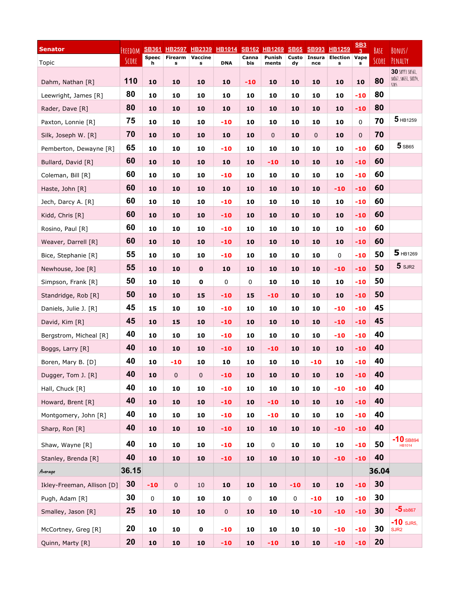| <b>Senator</b>             | FRFFDOM |                   | <u>SB361 HB2597 HB2339</u> |             | <b>HB1014 SB162 HB1269</b> |              |                 | <b>SB65</b> | <b>SB993</b>         | <u>HB1259</u>             | $\underline{\text{SB3}}$ | BASE  | BONUS/                                         |
|----------------------------|---------|-------------------|----------------------------|-------------|----------------------------|--------------|-----------------|-------------|----------------------|---------------------------|--------------------------|-------|------------------------------------------------|
| Topic                      | SCORE   | <b>Speec</b><br>h | Firearm Vaccine<br>s       | s           | <b>DNA</b>                 | Canna<br>bis | Punish<br>ments | Custo<br>dy | <b>Insura</b><br>nce | <b>Election Vape</b><br>s | s                        | SCORE | PENALTY                                        |
| Dahm, Nathan [R]           | 110     | 10                | 10                         | 10          | 10                         | -10          | 10              | 10          | 10                   | 10                        | 10                       | 80    | 30 SB993 SB561,<br>SB867, SB651, SB894,<br>511 |
| Leewright, James [R]       | 80      | 10                | 10                         | 10          | 10                         | 10           | 10              | 10          | 10                   | 10                        | $-10$                    | 80    |                                                |
| Rader, Dave [R]            | 80      | 10                | 10                         | 10          | 10                         | 10           | 10              | 10          | 10                   | 10                        | $-10$                    | 80    |                                                |
| Paxton, Lonnie [R]         | 75      | 10                | 10                         | 10          | $-10$                      | 10           | 10              | 10          | 10                   | 10                        | 0                        | 70    | $5$ HB1259                                     |
| Silk, Joseph W. [R]        | 70      | 10                | 10                         | 10          | 10                         | 10           | 0               | 10          | 0                    | 10                        | $\mathbf 0$              | 70    |                                                |
| Pemberton, Dewayne [R]     | 65      | 10                | 10                         | 10          | $-10$                      | 10           | 10              | 10          | 10                   | 10                        | $-10$                    | 60    | $5$ SB65                                       |
| Bullard, David [R]         | 60      | 10                | 10                         | 10          | 10                         | 10           | -10             | 10          | 10                   | 10                        | $-10$                    | 60    |                                                |
| Coleman, Bill [R]          | 60      | 10                | 10                         | 10          | $-10$                      | 10           | 10              | 10          | 10                   | 10                        | $-10$                    | 60    |                                                |
| Haste, John [R]            | 60      | 10                | 10                         | 10          | 10                         | 10           | 10              | 10          | 10                   | $-10$                     | $-10$                    | 60    |                                                |
| Jech, Darcy A. [R]         | 60      | 10                | 10                         | 10          | $-10$                      | 10           | 10              | 10          | 10                   | 10                        | $-10$                    | 60    |                                                |
| Kidd, Chris [R]            | 60      | 10                | 10                         | 10          | $-10$                      | 10           | 10              | 10          | 10                   | 10                        | $-10$                    | 60    |                                                |
| Rosino, Paul [R]           | 60      | 10                | 10                         | 10          | $-10$                      | 10           | 10              | 10          | 10                   | 10                        | $-10$                    | 60    |                                                |
| Weaver, Darrell [R]        | 60      | 10                | 10                         | 10          | $-10$                      | 10           | 10              | 10          | 10                   | 10                        | $-10$                    | 60    |                                                |
| Bice, Stephanie [R]        | 55      | 10                | 10                         | 10          | $-10$                      | 10           | 10              | 10          | 10                   | 0                         | $-10$                    | 50    | $5$ HB1269                                     |
| Newhouse, Joe [R]          | 55      | 10                | 10                         | $\mathbf 0$ | 10                         | 10           | 10              | 10          | 10                   | $-10$                     | $-10$                    | 50    | $5$ sjr2                                       |
| Simpson, Frank [R]         | 50      | 10                | 10                         | $\mathbf 0$ | 0                          | 0            | 10              | 10          | 10                   | 10                        | $-10$                    | 50    |                                                |
| Standridge, Rob [R]        | 50      | 10                | 10                         | 15          | $-10$                      | 15           | $-10$           | 10          | 10                   | 10                        | $-10$                    | 50    |                                                |
| Daniels, Julie J. [R]      | 45      | 15                | 10                         | 10          | $-10$                      | 10           | 10              | 10          | 10                   | $-10$                     | $-10$                    | 45    |                                                |
| David, Kim [R]             | 45      | 10                | 15                         | 10          | $-10$                      | 10           | 10              | 10          | 10                   | $-10$                     | $-10$                    | 45    |                                                |
| Bergstrom, Micheal [R]     | 40      | 10                | 10                         | 10          | $-10$                      | 10           | 10              | 10          | 10                   | $-10$                     | $-10$                    | 40    |                                                |
| Boggs, Larry [R]           | 40      | 10                | 10                         | 10          | $-10$                      | 10           | $-10$           | 10          | 10                   | 10                        | $-10$                    | 40    |                                                |
| Boren, Mary B. [D]         | 40      | 10                | $-10$                      | 10          | 10                         | 10           | 10              | 10          | $-10$                | 10                        | $-10$                    | 40    |                                                |
| Dugger, Tom J. [R]         | 40      | 10                | 0                          | 0           | $-10$                      | 10           | 10              | 10          | 10                   | 10                        | $-10$                    | 40    |                                                |
| Hall, Chuck [R]            | 40      | 10                | 10                         | 10          | $-10$                      | 10           | 10              | 10          | 10                   | $-10$                     | $-10$                    | 40    |                                                |
| Howard, Brent [R]          | 40      | 10                | 10                         | 10          | $-10$                      | 10           | $-10$           | 10          | 10                   | 10                        | $-10$                    | 40    |                                                |
| Montgomery, John [R]       | 40      | 10                | 10                         | 10          | $-10$                      | 10           | $-10$           | 10          | 10                   | 10                        | $-10$                    | 40    |                                                |
| Sharp, Ron [R]             | 40      | 10                | 10                         | 10          | $-10$                      | 10           | 10              | 10          | 10                   | $-10$                     | $-10$                    | 40    |                                                |
| Shaw, Wayne [R]            | 40      | 10                | 10                         | 10          | $-10$                      | 10           | 0               | 10          | 10                   | 10                        | $-10$                    | 50    | $-10$ SB894<br>HB1014                          |
| Stanley, Brenda [R]        | 40      | 10                | 10                         | 10          | $-10$                      | 10           | 10              | 10          | 10                   | $-10$                     | $-10$                    | 40    |                                                |
| Average                    | 36.15   |                   |                            |             |                            |              |                 |             |                      |                           |                          | 36.04 |                                                |
| Ikley-Freeman, Allison [D] | 30      | $-10$             | $\pmb{0}$                  | $10\,$      | 10                         | 10           | ${\bf 10}$      | $-10$       | 10                   | 10                        | $-10$                    | 30    |                                                |
| Pugh, Adam [R]             | 30      | 0                 | 10                         | 10          | 10                         | $\pmb{0}$    | 10              | 0           | $-10$                | 10                        | $-10$                    | 30    |                                                |
| Smalley, Jason [R]         | 25      | 10                | 10                         | 10          | $\mathbf 0$                | ${\bf 10}$   | ${\bf 10}$      | 10          | $-10$                | $-10$                     | $-10$                    | 30    | $-5$ sb867                                     |
| McCortney, Greg [R]        | 20      | 10                | 10                         | $\mathbf 0$ | $-10$                      | 10           | 10              | 10          | 10                   | $-10$                     | $-10$                    | 30    | $-10$ sjrs,<br>SJR <sub>2</sub>                |
| Quinn, Marty [R]           | 20      | 10                | 10                         | 10          | $-10$                      | 10           | $-10$           | 10          | 10                   | $-10$                     | $-10$                    | 20    |                                                |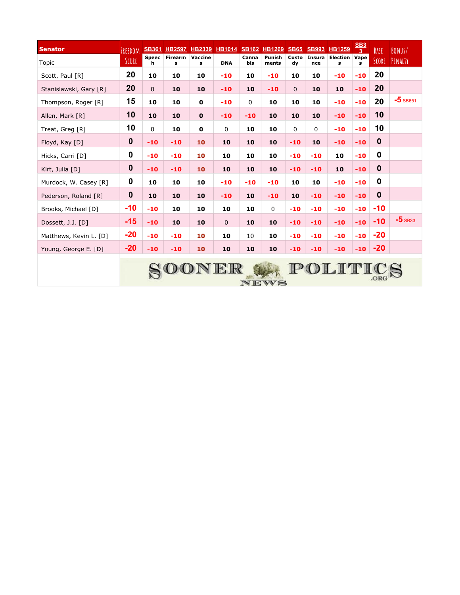| <b>Senator</b>         | FREEDOM     | <b>SB361</b>      | <b>HB2597</b>       | <b>HB2339</b> | <b>HB1014 SB162</b> |              | <b>HB1269</b>   | <b>SB65</b>  | <b>SB993</b>         | <b>HB1259</b>        | $\underline{\text{SB3}}$<br>3 <sup>7</sup> | BASE        | BONUS/     |
|------------------------|-------------|-------------------|---------------------|---------------|---------------------|--------------|-----------------|--------------|----------------------|----------------------|--------------------------------------------|-------------|------------|
| Topic                  | SCORE       | <b>Speec</b><br>h | <b>Firearm</b><br>s | Vaccine<br>s  | <b>DNA</b>          | Canna<br>bis | Punish<br>ments | Custo<br>dy  | <b>Insura</b><br>nce | <b>Election</b><br>s | Vape<br>s                                  | SCORE       | PENALTY    |
| Scott, Paul [R]        | 20          | 10                | 10                  | 10            | $-10$               | 10           | $-10$           | 10           | 10                   | $-10$                | $-10$                                      | 20          |            |
| Stanislawski, Gary [R] | 20          | $\mathbf{0}$      | 10                  | 10            | $-10$               | 10           | $-10$           | $\mathbf{0}$ | 10                   | 10                   | $-10$                                      | 20          |            |
| Thompson, Roger [R]    | 15          | 10                | 10                  | $\mathbf 0$   | $-10$               | $\mathbf 0$  | 10              | 10           | 10                   | $-10$                | $-10$                                      | 20          | $-5$ SB651 |
| Allen, Mark [R]        | 10          | 10                | 10                  | $\mathbf 0$   | $-10$               | $-10$        | 10              | 10           | 10                   | $-10$                | $-10$                                      | 10          |            |
| Treat, Greg [R]        | 10          | 0                 | 10                  | $\mathbf 0$   | 0                   | 10           | 10              | 0            | 0                    | $-10$                | $-10$                                      | 10          |            |
| Floyd, Kay [D]         | $\mathbf 0$ | $-10$             | $-10$               | 10            | 10                  | 10           | 10              | $-10$        | 10                   | $-10$                | $-10$                                      | $\mathbf 0$ |            |
| Hicks, Carri [D]       | 0           | $-10$             | $-10$               | 10            | 10                  | 10           | 10              | $-10$        | $-10$                | 10                   | $-10$                                      | 0           |            |
| Kirt, Julia [D]        | $\mathbf 0$ | $-10$             | $-10$               | 10            | 10                  | 10           | 10              | $-10$        | $-10$                | 10                   | $-10$                                      | $\bf{0}$    |            |
| Murdock, W. Casey [R]  | 0           | 10                | 10                  | 10            | $-10$               | $-10$        | $-10$           | 10           | 10                   | $-10$                | $-10$                                      | 0           |            |
| Pederson, Roland [R]   | $\mathbf 0$ | 10                | 10                  | 10            | $-10$               | 10           | $-10$           | 10           | $-10$                | $-10$                | $-10$                                      | $\bf{0}$    |            |
| Brooks, Michael [D]    | $-10$       | $-10$             | 10                  | 10            | 10                  | 10           | $\mathbf 0$     | $-10$        | $-10$                | $-10$                | $-10$                                      | $-10$       |            |
| Dossett, J.J. [D]      | $-15$       | $-10$             | 10                  | 10            | $\mathbf{0}$        | 10           | 10              | $-10$        | $-10$                | $-10$                | $-10$                                      | $-10$       | $-5$ SB33  |
| Matthews, Kevin L. [D] | $-20$       | $-10$             | $-10$               | 10            | 10                  | 10           | 10              | $-10$        | $-10$                | $-10$                | $-10$                                      | $-20$       |            |
| Young, George E. [D]   | $-20$       | $-10$             | $-10$               | 10            | 10                  | 10           | 10              | $-10$        | $-10$                | $-10$                | $-10$                                      | $-20$       |            |
|                        |             |                   |                     |               | SOONER              |              | NEWS            |              |                      | POLITI               |                                            | .ORG        |            |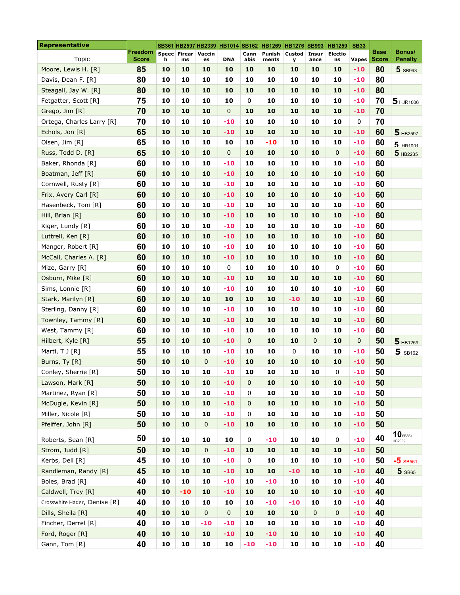| <b>Representative</b>        |                                |    |                               |                     | SB361 HB2597 HB2339 HB1014 SB162 |              | <u>HB1269</u> HB1276 SB993 HB1259 |                    |               |                      | <b>SB33</b>  |                      |                          |
|------------------------------|--------------------------------|----|-------------------------------|---------------------|----------------------------------|--------------|-----------------------------------|--------------------|---------------|----------------------|--------------|----------------------|--------------------------|
| Topic                        | <b>Freedom</b><br><b>Score</b> | h  | Speec   Firear   Vaccin<br>ms | es                  | <b>DNA</b>                       | Cann<br>abis | Punish<br>ments                   | <b>Custod</b><br>y | Insur<br>ance | <b>Electio</b><br>ns | <b>Vapes</b> | Base<br><b>Score</b> | Bonus/<br><b>Penalty</b> |
| Moore, Lewis H. [R]          | 85                             | 10 | 10                            | 10                  | 10                               | 10           | 10                                | 10                 | 10            | 10                   | $-10$        | 80                   | 5 SB993                  |
| Davis, Dean F. [R]           | 80                             | 10 | 10                            | 10                  | 10                               | 10           | 10                                | 10                 | 10            | 10                   | $-10$        | 80                   |                          |
| Steagall, Jay W. [R]         | 80                             | 10 | 10                            | 10                  | 10                               | 10           | 10                                | 10                 | 10            | 10                   | $-10$        | 80                   |                          |
| Fetgatter, Scott [R]         | 75                             | 10 | 10                            | 10                  | 10                               | 0            | 10                                | 10                 | 10            | 10                   | $-10$        | 70                   | 5 HJR1006                |
| Grego, Jim [R]               | 70                             | 10 | 10                            | 10                  | 0                                | 10           | 10                                | 10                 | 10            | 10                   | $-10$        | 70                   |                          |
| Ortega, Charles Larry [R]    | 70                             | 10 | 10                            | 10                  | $-10$                            | 10           | 10                                | 10                 | 10            | 10                   | 0            | 70                   |                          |
| Echols, Jon [R]              | 65                             | 10 | 10                            | 10                  | $-10$                            | 10           | 10                                | 10                 | 10            | 10                   | $-10$        | 60                   | 5 HB2597                 |
| Olsen, Jim [R]               | 65                             | 10 | 10                            | 10                  | 10                               | 10           | $-10$                             | 10                 | 10            | 10                   | $-10$        | 60                   | $5$ HR1001               |
| Russ, Todd D. [R]            | 65                             | 10 | 10                            | 10                  | 0                                | 10           | 10                                | 10                 | 10            | $\mathbf 0$          | $-10$        | 60                   | 5 HB2235                 |
| Baker, Rhonda [R]            | 60                             | 10 | 10                            | 10                  | $-10$                            | 10           | 10                                | 10                 | 10            | 10                   | $-10$        | 60                   |                          |
| Boatman, Jeff [R]            | 60                             | 10 | 10                            | 10                  | $-10$                            | 10           | 10                                | 10                 | 10            | 10                   | $-10$        | 60                   |                          |
| Cornwell, Rusty [R]          | 60                             | 10 | 10                            | 10                  | $-10$                            | 10           | 10                                | 10                 | 10            | 10                   | $-10$        | 60                   |                          |
| Frix, Avery Carl [R]         | 60                             | 10 | 10                            | 10                  | $-10$                            | 10           | 10                                | 10                 | 10            | 10                   | $-10$        | 60                   |                          |
| Hasenbeck, Toni [R]          | 60                             | 10 | 10                            | 10                  | $-10$                            | 10           | 10                                | 10                 | 10            | 10                   | $-10$        | 60                   |                          |
| Hill, Brian [R]              | 60                             | 10 | 10                            | 10                  | $-10$                            | 10           | 10                                | 10                 | 10            | 10                   | $-10$        | 60                   |                          |
| Kiger, Lundy [R]             | 60                             | 10 | 10                            | 10                  | $-10$                            | 10           | 10                                | 10                 | 10            | 10                   | $-10$        | 60                   |                          |
| Luttrell, Ken [R]            | 60                             | 10 | 10                            | 10                  | $-10$                            | 10           | 10                                | 10                 | 10            | 10                   | $-10$        | 60                   |                          |
| Manger, Robert [R]           | 60                             | 10 | 10                            | 10                  | $-10$                            | 10           | 10                                | 10                 | 10            | 10                   | $-10$        | 60                   |                          |
| McCall, Charles A. [R]       | 60                             | 10 | 10                            | 10                  | $-10$                            | 10           | 10                                | 10                 | 10            | 10                   | $-10$        | 60                   |                          |
| Mize, Garry [R]              | 60                             | 10 | 10                            | 10                  | 0                                | 10           | 10                                | 10                 | 10            | 0                    | $-10$        | 60                   |                          |
| Osburn, Mike [R]             | 60                             | 10 | 10                            | 10                  | $-10$                            | 10           | 10                                | 10                 | 10            | 10                   | $-10$        | 60                   |                          |
| Sims, Lonnie [R]             | 60                             | 10 | 10                            | 10                  | $-10$                            | 10           | 10                                | 10                 | 10            | 10                   | $-10$        | 60                   |                          |
| Stark, Marilyn [R]           | 60                             | 10 | 10                            | 10                  | 10                               | 10           | 10                                | $-10$              | 10            | 10                   | $-10$        | 60                   |                          |
| Sterling, Danny [R]          | 60                             | 10 | 10                            | 10                  | $-10$                            | 10           | 10                                | 10                 | 10            | 10                   | $-10$        | 60                   |                          |
| Townley, Tammy [R]           | 60                             | 10 | 10                            | 10                  | $-10$                            | 10           | 10                                | 10                 | 10            | 10                   | $-10$        | 60                   |                          |
| West, Tammy [R]              | 60                             | 10 | 10                            | 10                  | $-10$                            | 10           | 10                                | 10                 | 10            | 10                   | $-10$        | 60                   |                          |
| Hilbert, Kyle [R]            | 55                             | 10 | 10                            | 10                  | $-10$                            | $\mathbf{0}$ | 10                                | 10                 | 0             | 10                   | 0            | 50                   | 5 HB1259                 |
| Marti, T J [R]               | 55                             | 10 | 10                            | 10                  | $-10$                            | 10           | 10                                | 0                  | 10            | 10                   | $-10$        | 50                   | $5$ SB162                |
| Burns, Ty [R]                | 50                             | 10 | 10                            | $\mathbf 0$         | $-10$                            | 10           | 10                                | 10                 | 10            | 10                   | $-10$        | 50                   |                          |
| Conley, Sherrie [R]          | 50                             | 10 | 10                            | 10                  | $-10$                            | 10           | 10                                | 10                 | 10            | 0                    | $-10$        | 50                   |                          |
| Lawson, Mark [R]             | 50                             | 10 | 10                            | 10                  | $-10$                            | 0            | 10                                | 10                 | 10            | 10                   | $-10$        | 50                   |                          |
| Martinez, Ryan [R]           | 50                             | 10 | 10                            | 10                  | $-10$                            | 0            | 10                                | 10                 | 10            | 10                   | $-10$        | 50                   |                          |
| McDugle, Kevin [R]           | 50                             | 10 | 10                            | 10                  | $-10$                            | $\mathbf 0$  | 10                                | 10                 | 10            | 10                   | $-10$        | 50                   |                          |
| Miller, Nicole [R]           | 50                             | 10 | 10                            | 10                  | $-10$                            | $\pmb{0}$    | 10                                | 10                 | 10            | 10                   | $-10$        | 50                   |                          |
| Pfeiffer, John [R]           | 50                             | 10 | 10                            | $\pmb{0}$           | $-10$                            | 10           | 10                                | 10                 | 10            | 10                   | $-10$        | 50                   |                          |
| Roberts, Sean [R]            | 50                             | 10 | 10                            | 10                  | 10                               | 0            | $-10$                             | 10                 | 10            | 0                    | $-10$        | 40                   | 10SB561,<br>HB2339       |
| Strom, Judd [R]              | 50                             | 10 | 10                            | $\mathsf{O}\xspace$ | $-10$                            | 10           | 10                                | 10                 | 10            | 10                   | $-10$        | 50                   |                          |
| Kerbs, Dell [R]              | 45                             | 10 | 10                            | 10                  | $-10$                            | $\mathbf 0$  | 10                                | 10                 | 10            | 10                   | $-10$        | 50                   | $-5$ SB561,              |
| Randleman, Randy [R]         | 45                             | 10 | 10                            | 10                  | $-10$                            | 10           | 10                                | $-10$              | 10            | 10                   | $-10$        | 40                   | 5 SB65                   |
| Boles, Brad [R]              | 40                             | 10 | 10                            | 10                  | $-10$                            | 10           | $-10$                             | 10                 | 10            | 10                   | $-10$        | 40                   |                          |
| Caldwell, Trey [R]           | 40                             | 10 | $-10$                         | 10                  | $-10$                            | 10           | 10                                | 10                 | 10            | 10                   | $-10$        | 40                   |                          |
| Crosswhite Hader, Denise [R] | 40                             | 10 | 10                            | 10                  | 10                               | 10           | $-10$                             | $-10$              | 10            | 10                   | $-10$        | 40                   |                          |
| Dills, Sheila [R]            | 40                             | 10 | 10                            | $\pmb{0}$           | $\mathbf 0$                      | 10           | 10                                | 10                 | 0             | $\pmb{0}$            | $-10$        | 40                   |                          |
| Fincher, Derrel [R]          | 40                             | 10 | 10                            | $-10$               | $-10$                            | 10           | 10                                | 10                 | 10            | 10                   | $-10$        | 40                   |                          |
| Ford, Roger [R]              | 40                             | 10 | 10                            | 10                  | $-10$                            | 10           | $-10$                             | 10                 | 10            | 10                   | $-10$        | 40                   |                          |
| Gann, Tom [R]                | 40                             | 10 | 10                            | 10                  | 10                               | $-10$        | $-10$                             | 10                 | 10            | 10                   | $-10$        | 40                   |                          |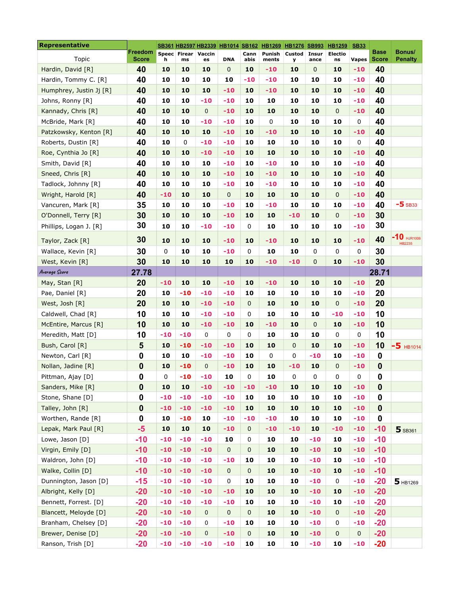| <b>Representative</b>   |                                |       |                           |                     |            |              | SB361 HB2597 HB2339 HB1014 SB162 HB1269 HB1276 SB993 |                    |                      | HB1259               | <b>SB33</b>  |               |                                |
|-------------------------|--------------------------------|-------|---------------------------|---------------------|------------|--------------|------------------------------------------------------|--------------------|----------------------|----------------------|--------------|---------------|--------------------------------|
| Topic                   | <b>Freedom</b><br><b>Score</b> | h     | Speec Firear Vaccin<br>ms | es                  | <b>DNA</b> | Cann<br>abis | Punish<br>ments                                      | <b>Custod</b><br>У | <b>Insur</b><br>ance | <b>Electio</b><br>ns | <b>Vapes</b> | Base<br>Score | Bonus/<br><b>Penalty</b>       |
| Hardin, David [R]       | 40                             | 10    | 10                        | 10                  | 0          | 10           | $-10$                                                | 10                 | 0                    | 10                   | $-10$        | 40            |                                |
| Hardin, Tommy C. [R]    | 40                             | 10    | 10                        | 10                  | 10         | $-10$        | $-10$                                                | 10                 | 10                   | 10                   | -10          | 40            |                                |
| Humphrey, Justin Jj [R] | 40                             | 10    | 10                        | 10                  | $-10$      | 10           | $-10$                                                | 10                 | 10                   | 10                   | $-10$        | 40            |                                |
| Johns, Ronny [R]        | 40                             | 10    | 10                        | $-10$               | $-10$      | 10           | 10                                                   | 10                 | 10                   | 10                   | $-10$        | 40            |                                |
| Kannady, Chris [R]      | 40                             | 10    | 10                        | $\mathbf 0$         | $-10$      | 10           | 10                                                   | 10                 | 10                   | $\pmb{0}$            | $-10$        | 40            |                                |
| McBride, Mark [R]       | 40                             | 10    | 10                        | -10                 | $-10$      | 10           | $\mathbf 0$                                          | 10                 | 10                   | 10                   | 0            | 40            |                                |
| Patzkowsky, Kenton [R]  | 40                             | 10    | 10                        | 10                  | $-10$      | 10           | $-10$                                                | 10                 | 10                   | 10                   | $-10$        | 40            |                                |
| Roberts, Dustin [R]     | 40                             | 10    | 0                         | $-10$               | $-10$      | 10           | 10                                                   | 10                 | 10                   | 10                   | 0            | 40            |                                |
| Roe, Cynthia Jo [R]     | 40                             | 10    | 10                        | $-10$               | $-10$      | 10           | 10                                                   | 10                 | 10                   | 10                   | $-10$        | 40            |                                |
| Smith, David [R]        | 40                             | 10    | 10                        | 10                  | $-10$      | 10           | $-10$                                                | 10                 | 10                   | 10                   | $-10$        | 40            |                                |
| Sneed, Chris [R]        | 40                             | 10    | 10                        | 10                  | $-10$      | 10           | $-10$                                                | 10                 | 10                   | 10                   | $-10$        | 40            |                                |
| Tadlock, Johnny [R]     | 40                             | 10    | 10                        | 10                  | $-10$      | 10           | $-10$                                                | 10                 | 10                   | 10                   | $-10$        | 40            |                                |
| Wright, Harold [R]      | 40                             | $-10$ | 10                        | 10                  | 0          | 10           | 10                                                   | 10                 | 10                   | $\mathbf 0$          | $-10$        | 40            |                                |
| Vancuren, Mark [R]      | 35                             | 10    | 10                        | 10                  | $-10$      | 10           | $-10$                                                | 10                 | 10                   | 10                   | $-10$        | 40            | $-5$ SB33                      |
| O'Donnell, Terry [R]    | 30                             | 10    | 10                        | 10                  | $-10$      | 10           | 10                                                   | $-10$              | 10                   | $\pmb{0}$            | $-10$        | 30            |                                |
| Phillips, Logan J. [R]  | 30                             | 10    | 10                        | $-10$               | $-10$      | 0            | 10                                                   | 10                 | 10                   | 10                   | $-10$        | 30            |                                |
| Taylor, Zack [R]        | 30                             | 10    | 10                        | 10                  | $-10$      | 10           | $-10$                                                | 10                 | 10                   | 10                   | $-10$        | 40            | $-10$ HJR1006<br><b>HB2235</b> |
| Wallace, Kevin [R]      | 30                             | 0     | 10                        | 10                  | $-10$      | 0            | 10                                                   | 10                 | 0                    | $\mathsf 0$          | 0            | 30            |                                |
| West, Kevin [R]         | 30                             | 10    | 10                        | 10                  | 10         | 10           | $-10$                                                | $-10$              | 0                    | 10                   | $-10$        | 30            |                                |
| Average Score           | 27.78                          |       |                           |                     |            |              |                                                      |                    |                      |                      |              | 28.71         |                                |
| May, Stan [R]           | 20                             | $-10$ | 10                        | 10                  | $-10$      | 10           | $-10$                                                | 10                 | 10                   | 10                   | $-10$        | 20            |                                |
| Pae, Daniel [R]         | 20                             | 10    | $-10$                     | -10                 | $-10$      | 10           | 10                                                   | 10                 | 10                   | 10                   | $-10$        | 20            |                                |
| West, Josh [R]          | 20                             | 10    | 10                        | $-10$               | $-10$      | 0            | 10                                                   | 10                 | 10                   | $\mathbf 0$          | $-10$        | 20            |                                |
| Caldwell, Chad [R]      | 10                             | 10    | 10                        | $-10$               | $-10$      | 0            | 10                                                   | 10                 | 10                   | $-10$                | $-10$        | 10            |                                |
| McEntire, Marcus [R]    | 10                             | 10    | 10                        | $-10$               | $-10$      | 10           | $-10$                                                | 10                 | 0                    | 10                   | $-10$        | 10            |                                |
| Meredith, Matt [D]      | 10                             | $-10$ | $-10$                     | $\mathbf 0$         | 0          | 0            | 10                                                   | 10                 | 10                   | 0                    | 0            | 10            |                                |
| Bush, Carol [R]         | 5                              | 10    | $-10$                     | $-10$               | $-10$      | 10           | 10                                                   | 0                  | 10                   | 10                   | $-10$        | 10            | $-5$ HB1014                    |
| Newton, Carl [R]        | 0                              | 10    | 10                        | $-10$               | $-10$      | 10           | $\mathbf 0$                                          | 0                  | $-10$                | 10                   | $-10$        | $\mathbf 0$   |                                |
| Nollan, Jadine [R]      | 0                              | 10    | $-10$                     | $\mathbf 0$         | $-10$      | 10           | 10                                                   | $-10$              | 10                   | $\pmb{0}$            | $-10$        | $\mathbf 0$   |                                |
| Pittman, Ajay [D]       | 0                              | 0     | $-10$                     | $-10$               | 10         | 0            | 10                                                   | 0                  | 0                    | 0                    | 0            | 0             |                                |
| Sanders, Mike [R]       | $\mathbf 0$                    | 10    | 10                        | $-10$               | $-10$      | $-10$        | $-10$                                                | 10                 | 10                   | 10                   | $-10$        | $\mathbf 0$   |                                |
| Stone, Shane [D]        | 0                              | $-10$ | $-10$                     | $-10$               | $-10$      | 10           | 10                                                   | 10                 | 10                   | 10                   | $-10$        | $\mathbf 0$   |                                |
| Talley, John [R]        | $\bf{0}$                       | $-10$ | $-10$                     | $-10$               | $-10$      | 10           | 10                                                   | 10                 | 10                   | 10                   | $-10$        | $\mathbf 0$   |                                |
| Worthen, Rande [R]      | 0                              | 10    | $-10$                     | 10                  | $-10$      | $-10$        | $-10$                                                | 10                 | 10                   | 10                   | $-10$        | $\pmb{0}$     |                                |
| Lepak, Mark Paul [R]    | $-5$                           | 10    | 10                        | 10                  | $-10$      | 0            | $-10$                                                | $-10$              | 10                   | $-10$                | $-10$        | $-10$         | 5 SB361                        |
| Lowe, Jason [D]         | $-10$                          | $-10$ | $-10$                     | $-10$               | 10         | 0            | 10                                                   | 10                 | $-10$                | 10                   | $-10$        | $-10$         |                                |
| Virgin, Emily [D]       | $-10$                          | $-10$ | $-10$                     | $-10$               | $\pmb{0}$  | 0            | 10                                                   | 10                 | $-10$                | 10                   | $-10$        | $-10$         |                                |
| Waldron, John [D]       | $-10$                          | $-10$ | $-10$                     | $-10$               | $-10$      | 10           | 10                                                   | 10                 | $-10$                | 10                   | $-10$        | $-10$         |                                |
| Walke, Collin [D]       | $-10$                          | $-10$ | $-10$                     | $-10$               | 0          | 0            | 10                                                   | 10                 | $-10$                | 10                   | $-10$        | $-10$         |                                |
| Dunnington, Jason [D]   | $-15$                          | $-10$ | $-10$                     | $-10$               | 0          | 10           | 10                                                   | 10                 | $-10$                | 0                    | $-10$        | $-20$         | $5$ HB1269                     |
| Albright, Kelly [D]     | $-20$                          | $-10$ | $-10$                     | $-10$               | $-10$      | 10           | 10                                                   | 10                 | $-10$                | 10                   | $-10$        | $-20$         |                                |
| Bennett, Forrest. [D]   | $-20$                          | $-10$ | $-10$                     | $-10$               | $-10$      | 10           | 10                                                   | 10                 | $-10$                | 10                   | $-10$        | $-20$         |                                |
| Blancett, Meloyde [D]   | $-20$                          | $-10$ | $-10$                     | $\mathsf{O}\xspace$ | 0          | 0            | 10                                                   | 10                 | $-10$                | $\mathbf 0$          | $-10$        | $-20$         |                                |
| Branham, Chelsey [D]    | $-20$                          | $-10$ | $-10$                     | 0                   | $-10$      | 10           | 10                                                   | 10                 | $-10$                | 0                    | $-10$        | $-20$         |                                |
| Brewer, Denise [D]      | $-20$                          | $-10$ | $-10$                     | $\mathbf 0$         | $-10$      | 0            | 10                                                   | 10                 | $-10$                | $\pmb{0}$            | $\pmb{0}$    | $-20$         |                                |
| Ranson, Trish [D]       | $-20$                          | $-10$ | $-10$                     | $-10$               | $-10$      | 10           | 10                                                   | 10                 | $-10$                | 10                   | $-10$        | $-20$         |                                |